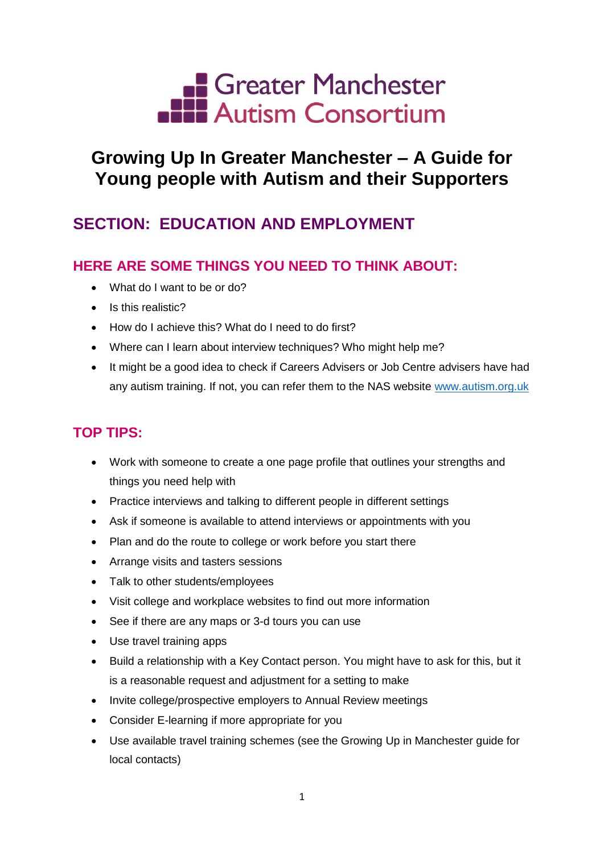

# **Growing Up In Greater Manchester – A Guide for Young people with Autism and their Supporters**

## **SECTION: EDUCATION AND EMPLOYMENT**

### **HERE ARE SOME THINGS YOU NEED TO THINK ABOUT:**

- What do I want to be or do?
- Is this realistic?
- How do I achieve this? What do I need to do first?
- Where can I learn about interview techniques? Who might help me?
- It might be a good idea to check if Careers Advisers or Job Centre advisers have had any autism training. If not, you can refer them to the NAS website [www.autism.org.uk](http://www.autism.org.uk/)

### **TOP TIPS:**

- Work with someone to create a one page profile that outlines your strengths and things you need help with
- Practice interviews and talking to different people in different settings
- Ask if someone is available to attend interviews or appointments with you
- Plan and do the route to college or work before you start there
- Arrange visits and tasters sessions
- Talk to other students/employees
- Visit college and workplace websites to find out more information
- See if there are any maps or 3-d tours you can use
- Use travel training apps
- Build a relationship with a Key Contact person. You might have to ask for this, but it is a reasonable request and adjustment for a setting to make
- Invite college/prospective employers to Annual Review meetings
- Consider E-learning if more appropriate for you
- Use available travel training schemes (see the Growing Up in Manchester guide for local contacts)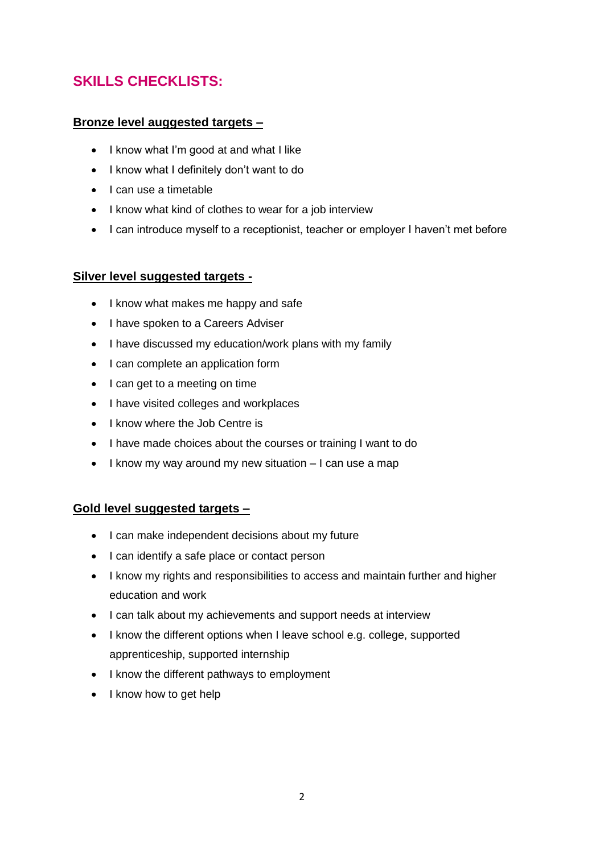### **SKILLS CHECKLISTS:**

#### **Bronze level auggested targets –**

- I know what I'm good at and what I like
- I know what I definitely don't want to do
- $\bullet$  I can use a timetable
- I know what kind of clothes to wear for a job interview
- I can introduce myself to a receptionist, teacher or employer I haven't met before

#### **Silver level suggested targets -**

- I know what makes me happy and safe
- I have spoken to a Careers Adviser
- I have discussed my education/work plans with my family
- I can complete an application form
- I can get to a meeting on time
- I have visited colleges and workplaces
- I know where the Job Centre is
- I have made choices about the courses or training I want to do
- $\bullet$  I know my way around my new situation  $-1$  can use a map

#### **Gold level suggested targets –**

- I can make independent decisions about my future
- I can identify a safe place or contact person
- I know my rights and responsibilities to access and maintain further and higher education and work
- I can talk about my achievements and support needs at interview
- I know the different options when I leave school e.g. college, supported apprenticeship, supported internship
- I know the different pathways to employment
- I know how to get help